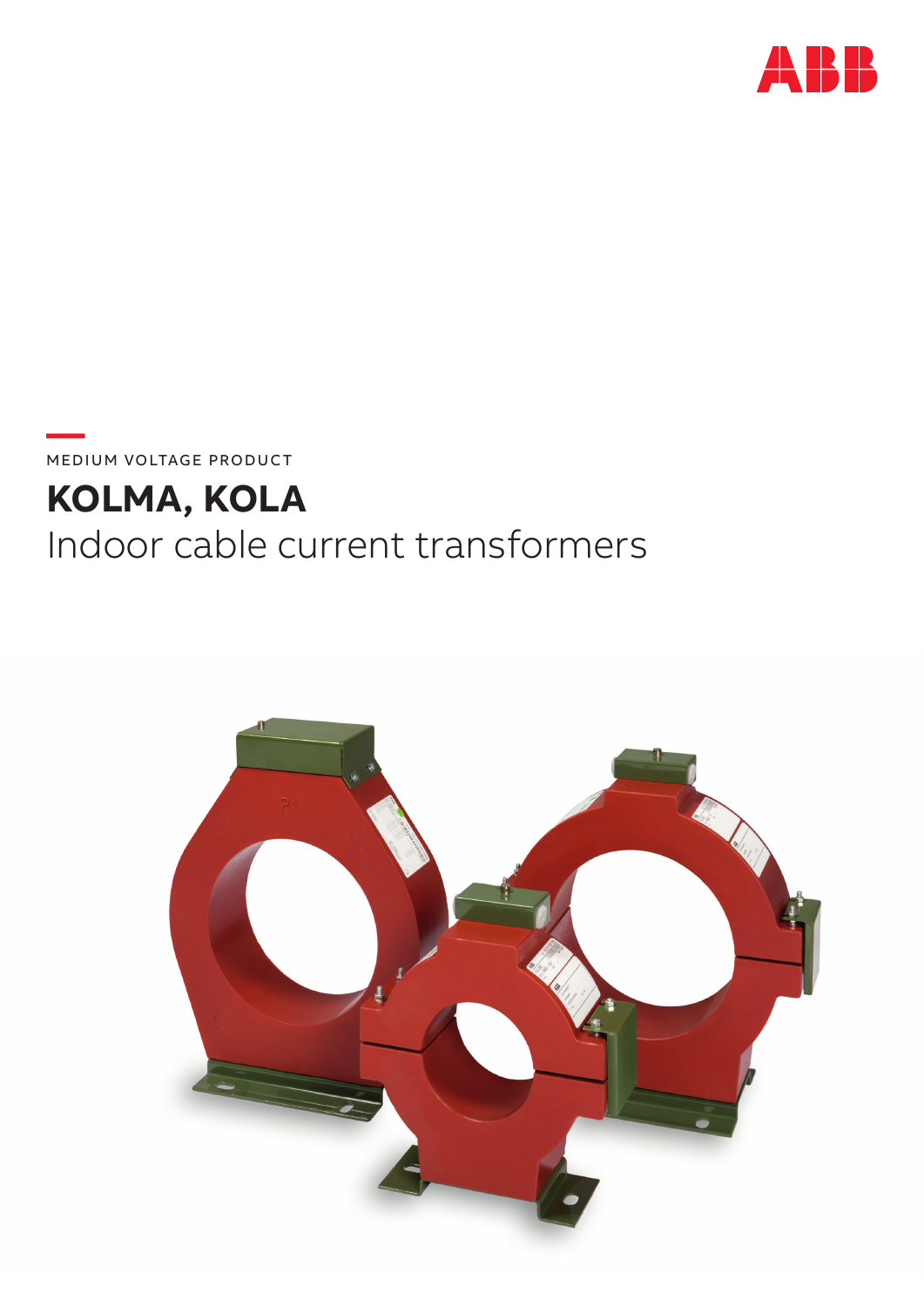

MEDIUM VOLTAGE PRODUCT

# KOLMA, KOLA Indoor cable current transformers

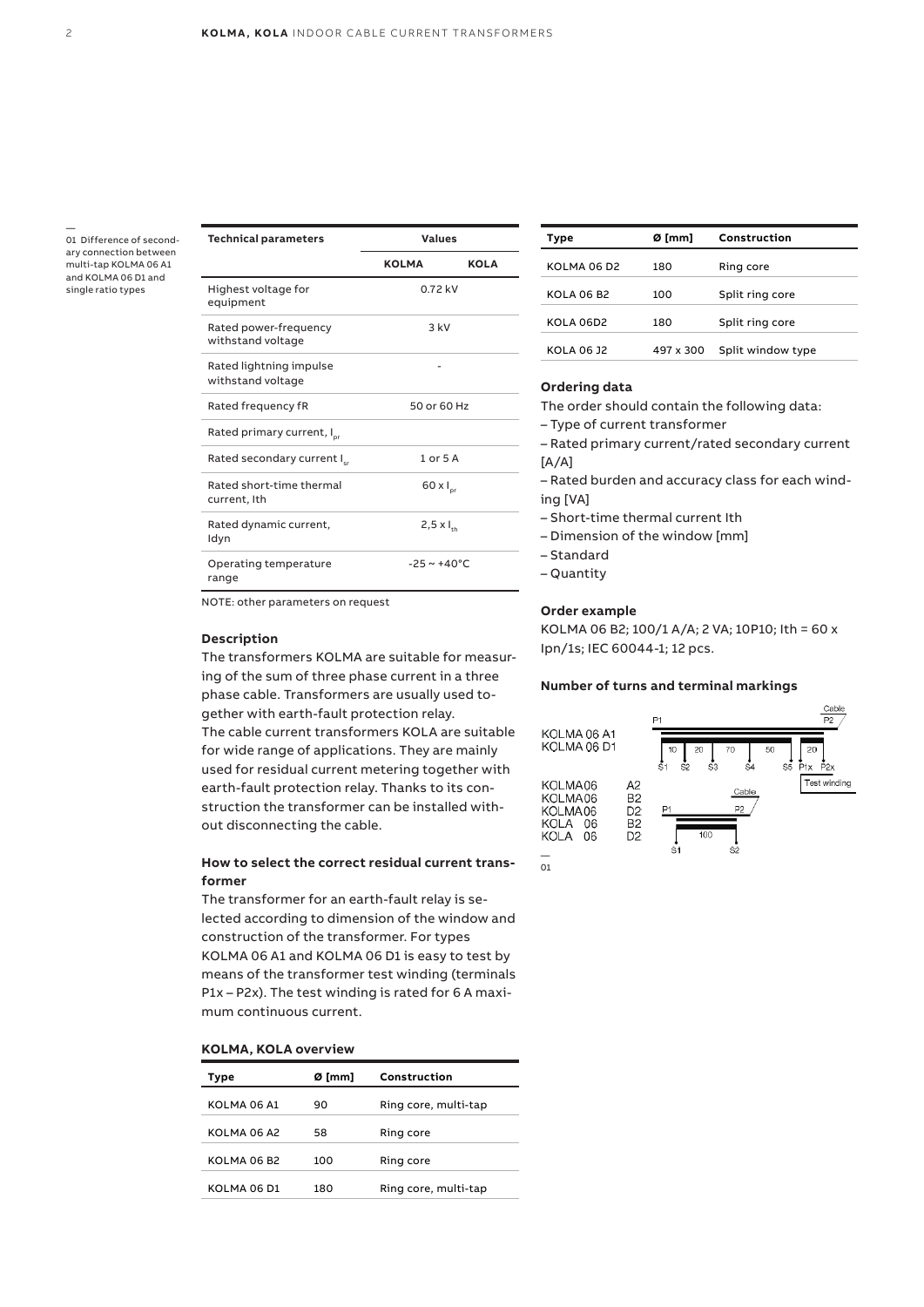— 01 Difference of secondary connection between multi-tap KOLMA 06 A1 and KOLMA 06 D1 and single ratio types

| <b>Technical parameters</b>                  | <b>Values</b>            |             |
|----------------------------------------------|--------------------------|-------------|
|                                              | <b>KOLMA</b>             | <b>KOLA</b> |
| Highest voltage for<br>equipment             | 0.72 kV                  |             |
| Rated power-frequency<br>withstand voltage   | $3$ kV                   |             |
| Rated lightning impulse<br>withstand voltage |                          |             |
| Rated frequency fR                           | 50 or 60 Hz              |             |
| Rated primary current, I <sub>pr</sub>       |                          |             |
| Rated secondary current I.                   | $1$ or $5$ A             |             |
| Rated short-time thermal<br>current, Ith     | $60 \times I_{pr}$       |             |
| Rated dynamic current,<br>Idyn               | $2,5 \times I_{th}$      |             |
| Operating temperature<br>range               | $-25 \sim +40^{\circ}$ C |             |

NOTE: other parameters on request

#### **Description**

The transformers KOLMA are suitable for measuring of the sum of three phase current in a three phase cable. Transformers are usually used together with earth-fault protection relay. The cable current transformers KOLA are suitable for wide range of applications. They are mainly used for residual current metering together with earth-fault protection relay. Thanks to its construction the transformer can be installed without disconnecting the cable.

#### **How to select the correct residual current transformer**

The transformer for an earth-fault relay is selected according to dimension of the window and construction of the transformer. For types KOLMA 06 A1 and KOLMA 06 D1 is easy to test by means of the transformer test winding (terminals P1x – P2x). The test winding is rated for 6 A maximum continuous current.

#### **KOLMA, KOLA overview**

| Type                    | Ø [mm]<br>Construction |                      |
|-------------------------|------------------------|----------------------|
| KOLMA 06 A1             | 90                     | Ring core, multi-tap |
| KOLMA 06 A2             | 58                     | Ring core            |
| KOLMA 06 B <sub>2</sub> | 100                    | Ring core            |
| KOLMA 06 D1             | 180                    | Ring core, multi-tap |

| Type              | Ø [mm]    | Construction      |  |
|-------------------|-----------|-------------------|--|
| KOLMA 06 D2       | 180       | Ring core         |  |
| <b>KOLA 06 B2</b> | 100       | Split ring core   |  |
| <b>KOLA 06D2</b>  | 180       | Split ring core   |  |
| KOLA 06 J2        | 497 x 300 | Split window type |  |

#### **Ordering data**

The order should contain the following data:

– Type of current transformer

– Rated primary current/rated secondary current [A/A]

– Rated burden and accuracy class for each winding [VA]

- Short-time thermal current Ith
- Dimension of the window [mm]
- Standard

– Quantity

#### **Order example**

KOLMA 06 B2; 100/1 A/A; 2 VA; 10P10; Ith = 60 x Ipn/1s; IEC 60044-1; 12 pcs.

#### **Number of turns and terminal markings**

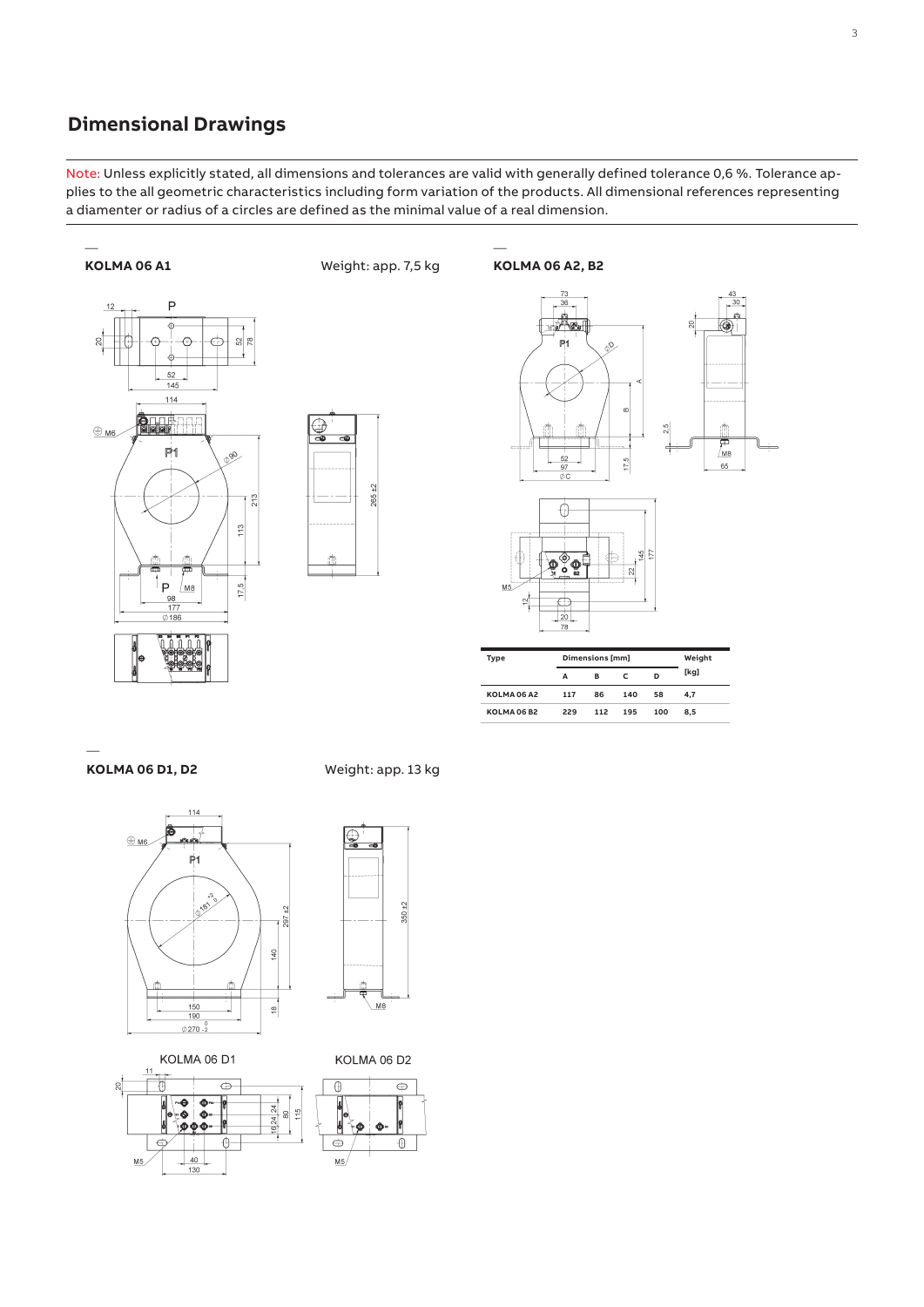### **Dimensional Drawings**

Note: Unless explicitly stated, all dimensions and tolerances are valid with generally defined tolerance 0,6 %. Tolerance applies to the all geometric characteristics including form variation of the products. All dimensional references representing a diamenter or radius of a circles are defined as the minimal value of a real dimension.

—





Weight: app. 7,5 kg



| Type               |     | Dimensions [mm] |     |     | Weight |
|--------------------|-----|-----------------|-----|-----|--------|
|                    | А   | в               |     | D   | [kg]   |
| <b>KOLMA 06 A2</b> | 117 | 86              | 140 | 58  | 4.7    |
| <b>KOLMA 06 B2</b> | 229 | 112             | 195 | 100 | 8.5    |

**KOLMA 06 D1, D2**

—



KOLMA 06 D1



# Weight: app. 13 kg



KOLMA 06 D2

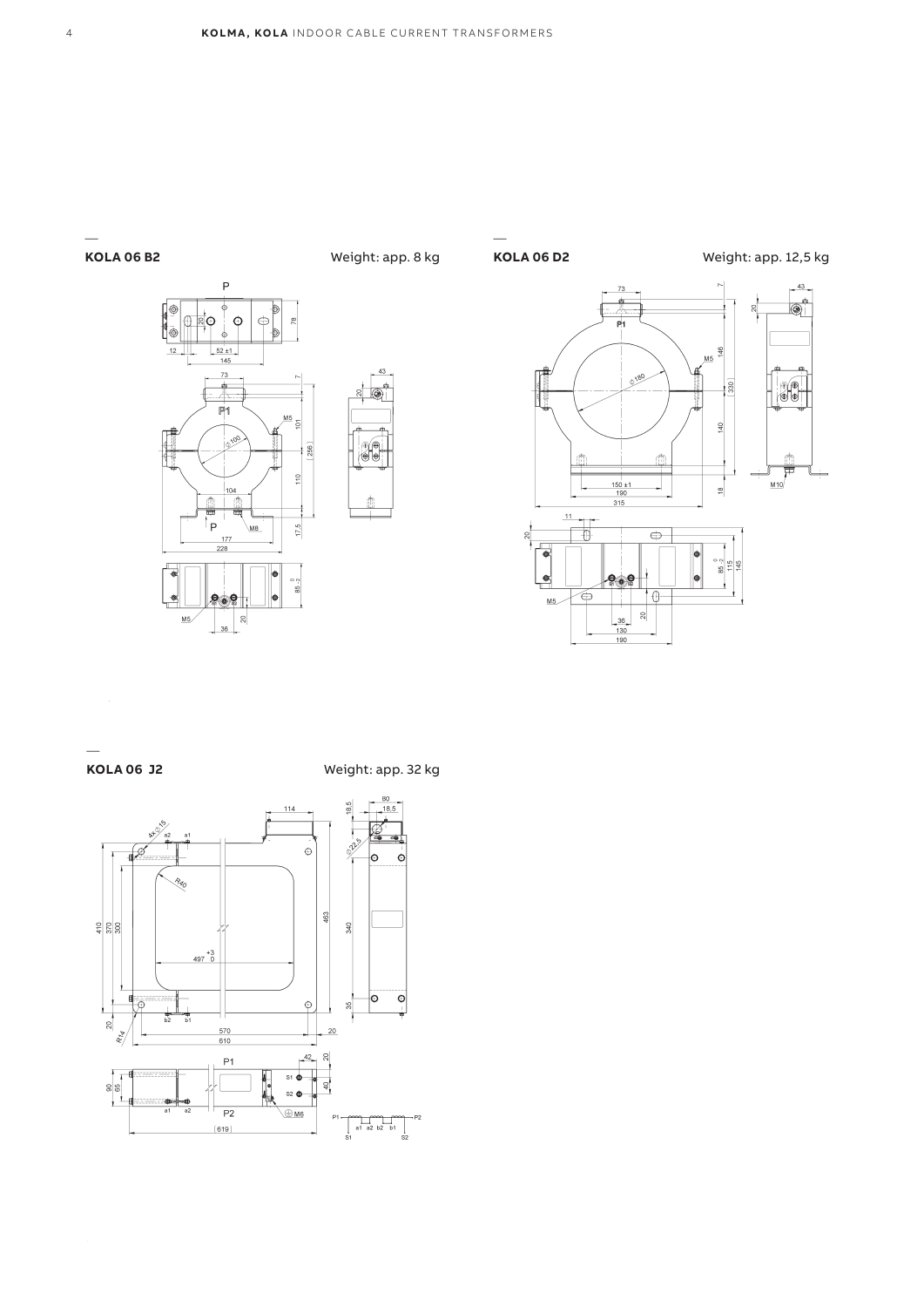#### **KOLA 06 B2**

—





∦∳



—

Weight: app. 12,5 kg



### **KOLA 06 J2**

—

Weight: app. 32 kg